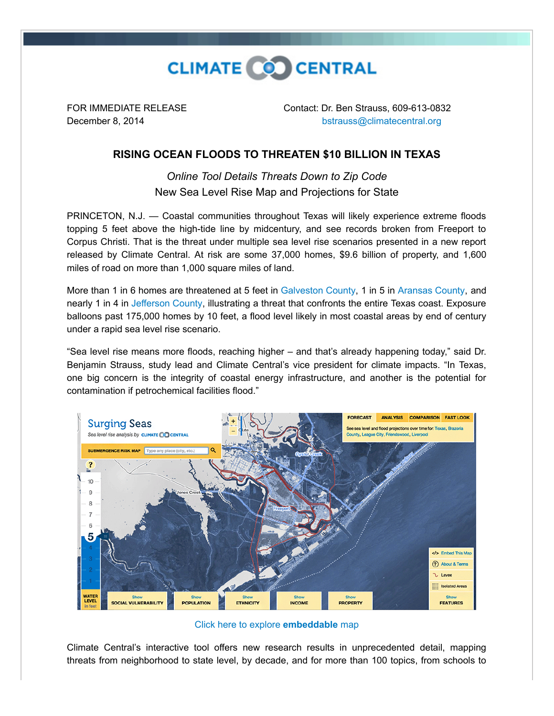

FOR IMMEDIATE RELEASE Contact: Dr. Ben Strauss, 609-613-0832 December 8, 2014 [bstrauss@climatecentral.org](mailto:bstrauss@climatecentral.org)

## **RISING OCEAN FLOODS TO THREATEN \$10 BILLION IN TEXAS**

*Online Tool Details Threats Down to Zip Code* New Sea Level Rise Map and Projections for State

PRINCETON, N.J. — Coastal communities throughout Texas will likely experience extreme floods topping 5 feet above the high-tide line by midcentury, and see records broken from Freeport to Corpus Christi. That is the threat under multiple sea level rise scenarios presented in a new report released by Climate Central. At risk are some 37,000 homes, \$9.6 billion of property, and 1,600 miles of road on more than 1,000 square miles of land.

More than 1 in 6 homes are threatened at 5 feet in [Galveston County,](http://ssrf.climatecentral.org.s3-website-us-east-1.amazonaws.com/Buffer2/states/TX/downloads/pdf_reports/County/TX_Galveston_County-report.pdf) 1 in 5 in [Aransas County,](http://ssrf.climatecentral.org.s3-website-us-east-1.amazonaws.com/Buffer2/states/TX/downloads/pdf_reports/County/TX_Aransas_County-report.pdf) and nearly 1 in 4 in [Jefferson County,](http://ssrf.climatecentral.org.s3-website-us-east-1.amazonaws.com/Buffer2/states/TX/downloads/pdf_reports/County/TX_Jefferson_County-report.pdf) illustrating a threat that confronts the entire Texas coast. Exposure balloons past 175,000 homes by 10 feet, a flood level likely in most coastal areas by end of century under a rapid sea level rise scenario.

"Sea level rise means more floods, reaching higher – and that's already happening today," said Dr. Benjamin Strauss, study lead and Climate Central's vice president for climate impacts. "In Texas, one big concern is the integrity of coastal energy infrastructure, and another is the potential for contamination if petrochemical facilities flood."



[Click here to explore](http://ss2.climatecentral.org/?bbox=38.525608,-119.116148,23.698609,-81.169373&label=Texas#12/28.9514/-95.3642?show=satellite&level=5&pois=hide) **embeddable** map

Climate Central's interactive tool offers new research results in unprecedented detail, mapping threats from neighborhood to state level, by decade, and for more than 100 topics, from schools to